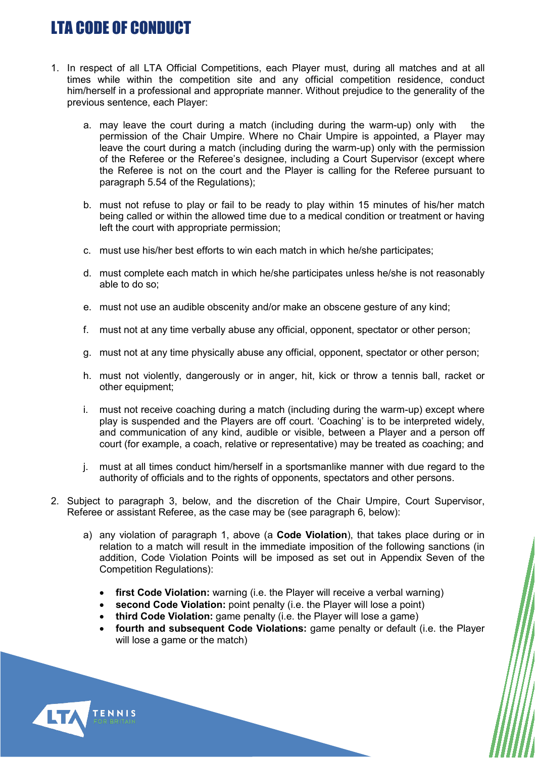## LTA CODE OF CONDUCT

- 1. In respect of all LTA Official Competitions, each Player must, during all matches and at all times while within the competition site and any official competition residence, conduct him/herself in a professional and appropriate manner. Without prejudice to the generality of the previous sentence, each Player:
	- a. may leave the court during a match (including during the warm-up) only with the permission of the Chair Umpire. Where no Chair Umpire is appointed, a Player may leave the court during a match (including during the warm-up) only with the permission of the Referee or the Referee's designee, including a Court Supervisor (except where the Referee is not on the court and the Player is calling for the Referee pursuant to paragraph 5.54 of the Regulations);
	- b. must not refuse to play or fail to be ready to play within 15 minutes of his/her match being called or within the allowed time due to a medical condition or treatment or having left the court with appropriate permission;
	- c. must use his/her best efforts to win each match in which he/she participates;
	- d. must complete each match in which he/she participates unless he/she is not reasonably able to do so;
	- e. must not use an audible obscenity and/or make an obscene gesture of any kind;
	- f. must not at any time verbally abuse any official, opponent, spectator or other person;
	- g. must not at any time physically abuse any official, opponent, spectator or other person;
	- h. must not violently, dangerously or in anger, hit, kick or throw a tennis ball, racket or other equipment;
	- i. must not receive coaching during a match (including during the warm-up) except where play is suspended and the Players are off court. 'Coaching' is to be interpreted widely, and communication of any kind, audible or visible, between a Player and a person off court (for example, a coach, relative or representative) may be treated as coaching; and
	- j. must at all times conduct him/herself in a sportsmanlike manner with due regard to the authority of officials and to the rights of opponents, spectators and other persons.
- 2. Subject to paragraph 3, below, and the discretion of the Chair Umpire, Court Supervisor, Referee or assistant Referee, as the case may be (see paragraph 6, below):
	- a) any violation of paragraph 1, above (a **Code Violation**), that takes place during or in relation to a match will result in the immediate imposition of the following sanctions (in addition, Code Violation Points will be imposed as set out in Appendix Seven of the Competition Regulations):
		- **first Code Violation:** warning (i.e. the Player will receive a verbal warning)
		- second Code Violation: point penalty (i.e. the Player will lose a point)
		- **third Code Violation:** game penalty (i.e. the Player will lose a game)
		- **fourth and subsequent Code Violations:** game penalty or default (i.e. the Player will lose a game or the match)